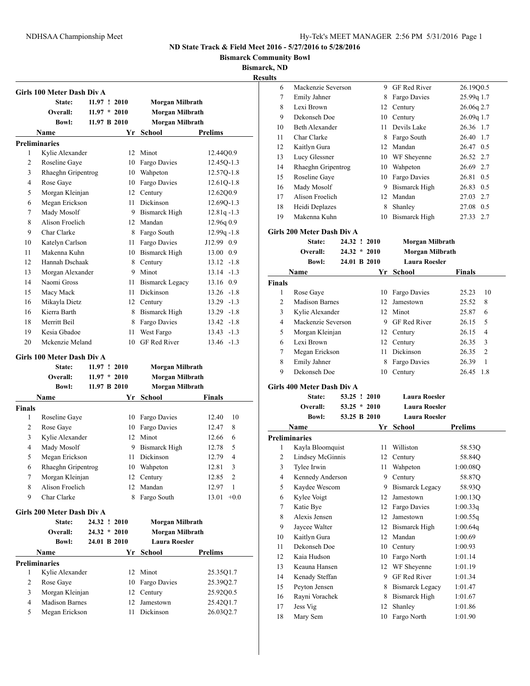**Bismarck Community Bowl**

**Bismarck, ND**

**Results**

| Girls 100 Meter Dash Div A               |                                                                                                                                                                                                                                              |                                                                                                                                                                                           |                            |                                                                                                                                                            |                                                                                                                                                                                                                                                                                                                                                                                                                                                                                                  |
|------------------------------------------|----------------------------------------------------------------------------------------------------------------------------------------------------------------------------------------------------------------------------------------------|-------------------------------------------------------------------------------------------------------------------------------------------------------------------------------------------|----------------------------|------------------------------------------------------------------------------------------------------------------------------------------------------------|--------------------------------------------------------------------------------------------------------------------------------------------------------------------------------------------------------------------------------------------------------------------------------------------------------------------------------------------------------------------------------------------------------------------------------------------------------------------------------------------------|
|                                          |                                                                                                                                                                                                                                              |                                                                                                                                                                                           |                            |                                                                                                                                                            |                                                                                                                                                                                                                                                                                                                                                                                                                                                                                                  |
|                                          |                                                                                                                                                                                                                                              |                                                                                                                                                                                           |                            |                                                                                                                                                            |                                                                                                                                                                                                                                                                                                                                                                                                                                                                                                  |
|                                          |                                                                                                                                                                                                                                              |                                                                                                                                                                                           |                            |                                                                                                                                                            | <b>Prelims</b>                                                                                                                                                                                                                                                                                                                                                                                                                                                                                   |
|                                          |                                                                                                                                                                                                                                              |                                                                                                                                                                                           |                            |                                                                                                                                                            |                                                                                                                                                                                                                                                                                                                                                                                                                                                                                                  |
|                                          |                                                                                                                                                                                                                                              |                                                                                                                                                                                           |                            |                                                                                                                                                            | 12.44Q0.9                                                                                                                                                                                                                                                                                                                                                                                                                                                                                        |
|                                          |                                                                                                                                                                                                                                              |                                                                                                                                                                                           |                            |                                                                                                                                                            | 12.45Q-1.3                                                                                                                                                                                                                                                                                                                                                                                                                                                                                       |
|                                          |                                                                                                                                                                                                                                              |                                                                                                                                                                                           |                            |                                                                                                                                                            | 12.57Q-1.8                                                                                                                                                                                                                                                                                                                                                                                                                                                                                       |
|                                          |                                                                                                                                                                                                                                              |                                                                                                                                                                                           |                            |                                                                                                                                                            | 12.61Q-1.8                                                                                                                                                                                                                                                                                                                                                                                                                                                                                       |
|                                          |                                                                                                                                                                                                                                              |                                                                                                                                                                                           |                            |                                                                                                                                                            | 12.62Q0.9                                                                                                                                                                                                                                                                                                                                                                                                                                                                                        |
|                                          |                                                                                                                                                                                                                                              |                                                                                                                                                                                           |                            |                                                                                                                                                            | 12.69Q-1.3                                                                                                                                                                                                                                                                                                                                                                                                                                                                                       |
|                                          |                                                                                                                                                                                                                                              |                                                                                                                                                                                           |                            |                                                                                                                                                            | $12.81q - 1.3$                                                                                                                                                                                                                                                                                                                                                                                                                                                                                   |
|                                          |                                                                                                                                                                                                                                              |                                                                                                                                                                                           |                            |                                                                                                                                                            | 12.96q 0.9                                                                                                                                                                                                                                                                                                                                                                                                                                                                                       |
|                                          |                                                                                                                                                                                                                                              |                                                                                                                                                                                           |                            |                                                                                                                                                            | $12.99q - 1.8$                                                                                                                                                                                                                                                                                                                                                                                                                                                                                   |
|                                          |                                                                                                                                                                                                                                              |                                                                                                                                                                                           |                            |                                                                                                                                                            | J12.99 0.9                                                                                                                                                                                                                                                                                                                                                                                                                                                                                       |
|                                          |                                                                                                                                                                                                                                              |                                                                                                                                                                                           |                            |                                                                                                                                                            |                                                                                                                                                                                                                                                                                                                                                                                                                                                                                                  |
|                                          |                                                                                                                                                                                                                                              |                                                                                                                                                                                           |                            |                                                                                                                                                            | 13.00 0.9                                                                                                                                                                                                                                                                                                                                                                                                                                                                                        |
|                                          |                                                                                                                                                                                                                                              |                                                                                                                                                                                           |                            |                                                                                                                                                            | $13.12 -1.8$                                                                                                                                                                                                                                                                                                                                                                                                                                                                                     |
|                                          |                                                                                                                                                                                                                                              |                                                                                                                                                                                           |                            |                                                                                                                                                            | $13.14 - 1.3$                                                                                                                                                                                                                                                                                                                                                                                                                                                                                    |
|                                          |                                                                                                                                                                                                                                              |                                                                                                                                                                                           |                            |                                                                                                                                                            | 13.16 0.9                                                                                                                                                                                                                                                                                                                                                                                                                                                                                        |
|                                          |                                                                                                                                                                                                                                              |                                                                                                                                                                                           |                            |                                                                                                                                                            | $13.26 -1.8$                                                                                                                                                                                                                                                                                                                                                                                                                                                                                     |
|                                          |                                                                                                                                                                                                                                              |                                                                                                                                                                                           |                            |                                                                                                                                                            | $13.29 - 1.3$                                                                                                                                                                                                                                                                                                                                                                                                                                                                                    |
|                                          |                                                                                                                                                                                                                                              |                                                                                                                                                                                           |                            |                                                                                                                                                            | $13.29 - 1.8$                                                                                                                                                                                                                                                                                                                                                                                                                                                                                    |
|                                          |                                                                                                                                                                                                                                              |                                                                                                                                                                                           |                            |                                                                                                                                                            | $13.42 -1.8$                                                                                                                                                                                                                                                                                                                                                                                                                                                                                     |
|                                          |                                                                                                                                                                                                                                              |                                                                                                                                                                                           |                            |                                                                                                                                                            | $13.43 - 1.3$                                                                                                                                                                                                                                                                                                                                                                                                                                                                                    |
|                                          |                                                                                                                                                                                                                                              |                                                                                                                                                                                           |                            |                                                                                                                                                            | 13.46 -1.3                                                                                                                                                                                                                                                                                                                                                                                                                                                                                       |
|                                          |                                                                                                                                                                                                                                              |                                                                                                                                                                                           |                            |                                                                                                                                                            |                                                                                                                                                                                                                                                                                                                                                                                                                                                                                                  |
| State:                                   |                                                                                                                                                                                                                                              |                                                                                                                                                                                           |                            | Morgan Milbrath                                                                                                                                            |                                                                                                                                                                                                                                                                                                                                                                                                                                                                                                  |
| Overall:                                 |                                                                                                                                                                                                                                              |                                                                                                                                                                                           |                            |                                                                                                                                                            |                                                                                                                                                                                                                                                                                                                                                                                                                                                                                                  |
| <b>Bowl:</b>                             |                                                                                                                                                                                                                                              |                                                                                                                                                                                           |                            |                                                                                                                                                            |                                                                                                                                                                                                                                                                                                                                                                                                                                                                                                  |
| Name                                     |                                                                                                                                                                                                                                              |                                                                                                                                                                                           |                            | School                                                                                                                                                     | Finals                                                                                                                                                                                                                                                                                                                                                                                                                                                                                           |
| <b>Finals</b>                            |                                                                                                                                                                                                                                              |                                                                                                                                                                                           |                            |                                                                                                                                                            |                                                                                                                                                                                                                                                                                                                                                                                                                                                                                                  |
|                                          |                                                                                                                                                                                                                                              |                                                                                                                                                                                           |                            | Fargo Davies                                                                                                                                               | 12.40<br>10                                                                                                                                                                                                                                                                                                                                                                                                                                                                                      |
| Rose Gaye                                |                                                                                                                                                                                                                                              |                                                                                                                                                                                           |                            |                                                                                                                                                            |                                                                                                                                                                                                                                                                                                                                                                                                                                                                                                  |
|                                          |                                                                                                                                                                                                                                              |                                                                                                                                                                                           | 10                         | Fargo Davies                                                                                                                                               | 12.47<br>8                                                                                                                                                                                                                                                                                                                                                                                                                                                                                       |
| Kylie Alexander                          |                                                                                                                                                                                                                                              |                                                                                                                                                                                           | 12                         | Minot                                                                                                                                                      | 12.66<br>6                                                                                                                                                                                                                                                                                                                                                                                                                                                                                       |
| Mady Mosolf                              |                                                                                                                                                                                                                                              |                                                                                                                                                                                           | 9                          | <b>Bismarck High</b>                                                                                                                                       | 12.78<br>5                                                                                                                                                                                                                                                                                                                                                                                                                                                                                       |
| Megan Erickson                           |                                                                                                                                                                                                                                              |                                                                                                                                                                                           | 11                         | Dickinson                                                                                                                                                  | 12.79<br>$\overline{4}$                                                                                                                                                                                                                                                                                                                                                                                                                                                                          |
| Rhaeghn Gripentrog                       |                                                                                                                                                                                                                                              |                                                                                                                                                                                           | 10                         | Wahpeton                                                                                                                                                   | 12.81<br>3                                                                                                                                                                                                                                                                                                                                                                                                                                                                                       |
| Morgan Kleinjan                          |                                                                                                                                                                                                                                              |                                                                                                                                                                                           | 12                         | Century                                                                                                                                                    | 12.85<br>2                                                                                                                                                                                                                                                                                                                                                                                                                                                                                       |
| Alison Froelich                          |                                                                                                                                                                                                                                              |                                                                                                                                                                                           | 12                         | Mandan                                                                                                                                                     | 12.97<br>1                                                                                                                                                                                                                                                                                                                                                                                                                                                                                       |
| Char Clarke                              |                                                                                                                                                                                                                                              |                                                                                                                                                                                           | 8                          | Fargo South                                                                                                                                                | 13.01<br>$+0.0$                                                                                                                                                                                                                                                                                                                                                                                                                                                                                  |
| Girls 200 Meter Dash Div A               |                                                                                                                                                                                                                                              |                                                                                                                                                                                           |                            |                                                                                                                                                            |                                                                                                                                                                                                                                                                                                                                                                                                                                                                                                  |
| State:                                   | 24.32 ! 2010                                                                                                                                                                                                                                 |                                                                                                                                                                                           |                            | Morgan Milbrath                                                                                                                                            |                                                                                                                                                                                                                                                                                                                                                                                                                                                                                                  |
| Overall:                                 | $24.32 * 2010$                                                                                                                                                                                                                               |                                                                                                                                                                                           |                            | Morgan Milbrath                                                                                                                                            |                                                                                                                                                                                                                                                                                                                                                                                                                                                                                                  |
| <b>Bowl:</b>                             | 24.01 B 2010                                                                                                                                                                                                                                 |                                                                                                                                                                                           |                            | <b>Laura Roesler</b>                                                                                                                                       |                                                                                                                                                                                                                                                                                                                                                                                                                                                                                                  |
| <b>Name</b>                              |                                                                                                                                                                                                                                              |                                                                                                                                                                                           | Yr                         | School                                                                                                                                                     | <b>Prelims</b>                                                                                                                                                                                                                                                                                                                                                                                                                                                                                   |
| <b>Preliminaries</b>                     |                                                                                                                                                                                                                                              |                                                                                                                                                                                           |                            |                                                                                                                                                            |                                                                                                                                                                                                                                                                                                                                                                                                                                                                                                  |
|                                          |                                                                                                                                                                                                                                              |                                                                                                                                                                                           | 12                         | Minot                                                                                                                                                      | 25.35Q1.7                                                                                                                                                                                                                                                                                                                                                                                                                                                                                        |
| Kylie Alexander<br>Rose Gaye             |                                                                                                                                                                                                                                              |                                                                                                                                                                                           | 10                         |                                                                                                                                                            |                                                                                                                                                                                                                                                                                                                                                                                                                                                                                                  |
|                                          |                                                                                                                                                                                                                                              |                                                                                                                                                                                           | 12                         | Fargo Davies<br>Century                                                                                                                                    | 25.39Q2.7                                                                                                                                                                                                                                                                                                                                                                                                                                                                                        |
| Morgan Kleinjan<br><b>Madison Barnes</b> |                                                                                                                                                                                                                                              |                                                                                                                                                                                           | 12                         | Jamestown                                                                                                                                                  | 25.92Q0.5<br>25.42Q1.7                                                                                                                                                                                                                                                                                                                                                                                                                                                                           |
|                                          | State:<br>Overall:<br><b>Bowl:</b><br>Name<br><b>Preliminaries</b><br>Roseline Gaye<br>Rose Gave<br>Mady Mosolf<br>Char Clarke<br>Naomi Gross<br>Macy Mack<br>Mikayla Dietz<br>Kierra Barth<br>Merritt Beil<br>Kesia Gbadoe<br>Roseline Gaye | Kylie Alexander<br>Rhaeghn Gripentrog<br>Morgan Kleinjan<br>Megan Erickson<br>Alison Froelich<br>Katelyn Carlson<br>Makenna Kuhn<br>Hannah Dschaak<br>Morgan Alexander<br>Mckenzie Meland | Girls 100 Meter Dash Div A | 11.97 ! 2010<br>$11.97 * 2010$<br>11.97 B 2010<br>12<br>10<br>11<br>8<br>11<br>11<br>8<br>11<br>10<br>11.97 ! 2010<br>$11.97 * 2010$<br>11.97 B 2010<br>10 | Morgan Milbrath<br>Morgan Milbrath<br>Morgan Milbrath<br>Yr<br><b>School</b><br>Minot<br>Fargo Davies<br>10<br>Wahpeton<br>Fargo Davies<br>10<br>12<br>Century<br>Dickinson<br>9<br><b>Bismarck High</b><br>12 Mandan<br>Fargo South<br>Fargo Davies<br>10 Bismarck High<br>8 Century<br>9 Minot<br><b>Bismarck Legacy</b><br>11<br>Dickinson<br>12 Century<br><b>Bismarck High</b><br>8<br>Fargo Davies<br>West Fargo<br><b>GF Red River</b><br>Morgan Milbrath<br><b>Morgan Milbrath</b><br>Yr |

| S  |                    |    |                     |              |
|----|--------------------|----|---------------------|--------------|
| 6  | Mackenzie Severson | 9  | <b>GF</b> Red River | 26.19Q0.5    |
| 7  | Emily Jahner       | 8  | Fargo Davies        | 25.99g 1.7   |
| 8  | Lexi Brown         |    | 12 Century          | 26.06q 2.7   |
| 9  | Dekonseh Doe       | 10 | Century             | 26.09q 1.7   |
| 10 | Beth Alexander     | 11 | Devils Lake         | 26.36 1.7    |
| 11 | Char Clarke        | 8  | Fargo South         | 26.40<br>1.7 |
| 12 | Kaitlyn Gura       | 12 | Mandan              | 26.47 0.5    |
| 13 | Lucy Glessner      | 10 | WF Sheyenne         | 26.52 2.7    |
| 14 | Rhaeghn Gripentrog | 10 | Wahpeton            | 26.69 2.7    |
| 15 | Roseline Gaye      | 10 | Fargo Davies        | 26.81<br>0.5 |
| 16 | Mady Mosolf        | 9  | Bismarck High       | 26.83 0.5    |
| 17 | Alison Froelich    | 12 | Mandan              | 27.03 2.7    |
| 18 | Heidi Deplazes     | 8  | Shanley             | 27.08<br>0.5 |
| 19 | Makenna Kuhn       | 10 | Bismarck High       | 27.33<br>2.7 |

**Girls 200 Meter Dash Div A**

| <b>State:</b> | 24.32 ! 2010   | Morgan Milbrath        |  |
|---------------|----------------|------------------------|--|
| Overall:      | $24.32 * 2010$ | Morgan Milbrath        |  |
| <b>Bowl:</b>  | 24.01 B 2010   | Laura Roesler          |  |
| Namo          |                | $V_r$ Cohool<br>Finale |  |

|               | rvame                 | r r<br>SCHOOL<br>r mais |              |       |                |
|---------------|-----------------------|-------------------------|--------------|-------|----------------|
| <b>Finals</b> |                       |                         |              |       |                |
| 1             | Rose Gaye             | 10                      | Fargo Davies | 25.23 | 10             |
| 2             | <b>Madison Barnes</b> | 12 <sup>1</sup>         | Jamestown    | 25.52 | 8              |
| 3             | Kylie Alexander       |                         | 12 Minot     | 25.87 | 6              |
| 4             | Mackenzie Severson    | 9                       | GF Red River | 26.15 | 5              |
| 5             | Morgan Kleinjan       |                         | 12 Century   | 26.15 | $\overline{4}$ |
| 6             | Lexi Brown            |                         | 12 Century   | 26.35 | 3              |
| 7             | Megan Erickson        | 11                      | Dickinson    | 26.35 | $\mathcal{L}$  |
| 8             | Emily Jahner          | 8                       | Fargo Davies | 26.39 | 1              |
| 9             | Dekonseh Doe          | 10                      | Century      | 26.45 | 1.8            |

# **Girls 400 Meter Dash Div A**

| <b>Name</b>               |                | Yr School     | <b>Prelims</b> |
|---------------------------|----------------|---------------|----------------|
| Bowl:                     | 53.25 B 2010   | Laura Roesler |                |
| Overall:                  | $53.25 * 2010$ | Laura Roesler |                |
| <b>State:</b>             | 53.25 ! 2010   | Laura Roesler |                |
| FIS 400 MEIEF DASII DIV A |                |               |                |

|                | Name                 |    | School                 | Prelims  |  |
|----------------|----------------------|----|------------------------|----------|--|
|                | <b>Preliminaries</b> |    |                        |          |  |
| 1              | Kayla Bloomquist     | 11 | Williston              | 58.53Q   |  |
| $\overline{c}$ | Lindsey McGinnis     | 12 | Century                | 58.84Q   |  |
| 3              | Tylee Irwin          | 11 | Wahpeton               | 1:00.08Q |  |
| 4              | Kennedy Anderson     | 9  | Century                | 58.87Q   |  |
| 5              | Kaydee Wescom        | 9  | <b>Bismarck Legacy</b> | 58.93Q   |  |
| 6              | Kylee Voigt          | 12 | Jamestown              | 1:00.13Q |  |
| 7              | Katie Bye            | 12 | Fargo Davies           | 1:00.33q |  |
| 8              | Alexis Jensen        | 12 | Jamestown              | 1:00.55q |  |
| 9              | Jaycee Walter        | 12 | Bismarck High          | 1:00.64q |  |
| 10             | Kaitlyn Gura         | 12 | Mandan                 | 1:00.69  |  |
| 11             | Dekonseh Doe         | 10 | Century                | 1:00.93  |  |
| 12             | Kaia Hudson          | 10 | Fargo North            | 1:01.14  |  |
| 13             | Keauna Hansen        | 12 | WF Sheyenne            | 1:01.19  |  |
| 14             | Kenady Steffan       | 9  | <b>GF Red River</b>    | 1:01.34  |  |
| 15             | Peyton Jensen        | 8  | Bismarck Legacy        | 1:01.47  |  |
| 16             | Rayni Vorachek       | 8  | Bismarck High          | 1:01.67  |  |
| 17             | Jess Vig             | 12 | Shanley                | 1:01.86  |  |
| 18             | Mary Sem             | 10 | Fargo North            | 1:01.90  |  |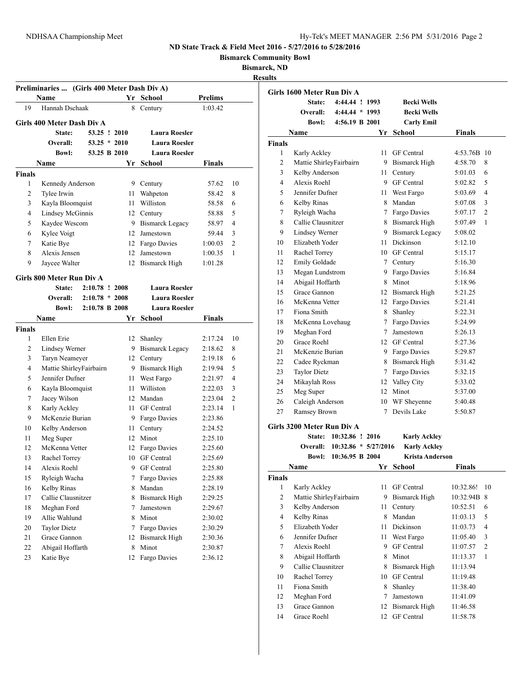**Bismarck Community Bowl**

**Bismarck, ND**

**Results**

|               | Preliminaries  (Girls 400 Meter Dash Div A) |                |  |      |                      |                |                |
|---------------|---------------------------------------------|----------------|--|------|----------------------|----------------|----------------|
|               | Name                                        |                |  |      | Yr School            | <b>Prelims</b> |                |
| 19            | Hannah Dschaak                              |                |  | 8    | Century              | 1:03.42        |                |
|               | Girls 400 Meter Dash Div A                  |                |  |      |                      |                |                |
|               | State:                                      | $53.25$ !      |  | 2010 | <b>Laura Roesler</b> |                |                |
|               | Overall:                                    | $53.25$ *      |  | 2010 | <b>Laura Roesler</b> |                |                |
|               | <b>Bowl:</b>                                | 53.25 B 2010   |  |      | <b>Laura Roesler</b> |                |                |
|               | <b>Name</b>                                 |                |  |      | Yr School            | Finals         |                |
| <b>Finals</b> |                                             |                |  |      |                      |                |                |
| 1             | Kennedy Anderson                            |                |  |      | 9 Century            | 57.62          | 10             |
| 2             | Tylee Irwin                                 |                |  | 11   | Wahpeton             | 58.42          | 8              |
| 3             | Kayla Bloomquist                            |                |  | 11   | Williston            | 58.58          | 6              |
| 4             | Lindsey McGinnis                            |                |  |      | 12 Century           | 58.88          | 5              |
| 5             | Kaydee Wescom                               |                |  |      | 9 Bismarck Legacy    | 58.97          | $\overline{4}$ |
| 6             | Kylee Voigt                                 |                |  |      | 12 Jamestown         | 59.44          | 3              |
| 7             | Katie Bye                                   |                |  |      | 12 Fargo Davies      | 1:00.03        | $\overline{c}$ |
| 8             | Alexis Jensen                               |                |  | 12   | Jamestown            | 1:00.35        | 1              |
| 9             | Jaycee Walter                               |                |  | 12   | Bismarck High        | 1:01.28        |                |
|               | Girls 800 Meter Run Div A                   |                |  |      |                      |                |                |
|               | State:                                      | 2:10.78 ! 2008 |  |      | <b>Laura Roesler</b> |                |                |
|               | Overall:                                    | $2:10.78$ *    |  | 2008 | <b>Laura Roesler</b> |                |                |
|               | <b>Bowl:</b>                                | 2:10.78 B 2008 |  |      | <b>Laura Roesler</b> |                |                |
|               | Name                                        |                |  | Yr   | <b>School</b>        | Finals         |                |
| <b>Finals</b> |                                             |                |  |      |                      |                |                |
| 1             | Ellen Erie                                  |                |  |      | 12 Shanley           | 2:17.24        | 10             |
| 2             | Lindsey Werner                              |                |  |      | 9 Bismarck Legacy    | 2:18.62        | 8              |
| 3             | Taryn Neameyer                              |                |  |      | 12 Century           | 2:19.18        | 6              |
| 4             | Mattie ShirleyFairbairn                     |                |  |      | 9 Bismarck High      | 2:19.94        | 5              |
| 5             | Jennifer Dufner                             |                |  | 11   | West Fargo           | 2:21.97        | 4              |
| 6             | Kayla Bloomquist                            |                |  | 11   | Williston            | 2:22.03        | 3              |
| 7             | Jacey Wilson                                |                |  |      | 12 Mandan            | 2:23.04        | 2              |
| 8             | Karly Ackley                                |                |  | 11   | <b>GF</b> Central    | 2:23.14        | 1              |
| 9             | McKenzie Burian                             |                |  |      | 9 Fargo Davies       | 2:23.86        |                |
| 10            | Kelby Anderson                              |                |  | 11   | Century              | 2:24.52        |                |
| 11            | Meg Super                                   |                |  |      | 12 Minot             | 2:25.10        |                |
| 12            | McKenna Vetter                              |                |  | 12   | Fargo Davies         | 2:25.60        |                |
| 13            | Rachel Torrey                               |                |  | 10   | <b>GF</b> Central    | 2:25.69        |                |
| 14            | Alexis Roehl                                |                |  | 9    | GF Central           | 2:25.80        |                |
| 15            | Ryleigh Wacha                               |                |  | 7    | Fargo Davies         | 2:25.88        |                |
| 16            | Kelby Rinas                                 |                |  | 8    | Mandan               | 2:28.19        |                |
| 17            | Callie Clausnitzer                          |                |  | 8    | <b>Bismarck High</b> | 2:29.25        |                |
| 18            | Meghan Ford                                 |                |  | 7    | Jamestown            | 2:29.67        |                |
| 19            | Allie Wahlund                               |                |  | 8    | Minot                | 2:30.02        |                |
| 20            | <b>Taylor Dietz</b>                         |                |  | 7    | Fargo Davies         | 2:30.29        |                |
| 21            | Grace Gannon                                |                |  | 12   | <b>Bismarck High</b> | 2:30.36        |                |
| 22            | Abigail Hoffarth                            |                |  | 8    | Minot                | 2:30.87        |                |
| 23            | Katie Bye                                   |                |  | 12   | Fargo Davies         | 2:36.12        |                |
|               |                                             |                |  |      |                      |                |                |

|                          | Girls 1600 Meter Run Div A<br>State: | 4:44.44 ! 1993         |             | <b>Becki Wells</b>     |                           |
|--------------------------|--------------------------------------|------------------------|-------------|------------------------|---------------------------|
|                          | <b>Overall:</b>                      | 4:44.44 * 1993         |             | <b>Becki Wells</b>     |                           |
|                          | <b>Bowl:</b>                         | 4:56.19 B 2001         |             | <b>Carly Emil</b>      |                           |
|                          | Name                                 |                        | Yr          | <b>School</b>          | <b>Finals</b>             |
| <b>Finals</b>            |                                      |                        |             |                        |                           |
| 1                        | Karly Ackley                         |                        | 11          | <b>GF</b> Central      | 4:53.76B<br>10            |
| 2                        | Mattie ShirleyFairbairn              |                        |             | 9 Bismarck High        | 4:58.70<br>8              |
| 3                        | Kelby Anderson                       |                        | 11 -        | Century                | 6<br>5:01.03              |
| $\overline{\mathcal{L}}$ | Alexis Roehl                         |                        |             | 9 GF Central           | 5<br>5:02.82              |
| 5                        | Jennifer Dufner                      |                        |             | 11 West Fargo          | $\overline{4}$<br>5:03.69 |
| 6                        | Kelby Rinas                          |                        |             | 8 Mandan               | 3<br>5:07.08              |
| 7                        | Ryleigh Wacha                        |                        |             | 7 Fargo Davies         | $\overline{2}$<br>5:07.17 |
| 8                        | Callie Clausnitzer                   |                        |             | 8 Bismarck High        | $\mathbf{1}$<br>5:07.49   |
| 9                        | Lindsey Werner                       |                        | 9           | <b>Bismarck Legacy</b> | 5:08.02                   |
| 10                       | Elizabeth Yoder                      |                        | 11          | <b>Dickinson</b>       | 5:12.10                   |
| 11                       | Rachel Torrey                        |                        |             | 10 GF Central          | 5:15.17                   |
| 12                       | <b>Emily Goldade</b>                 |                        | $7^{\circ}$ | Century                | 5:16.30                   |
| 13                       | Megan Lundstrom                      |                        |             | 9 Fargo Davies         | 5:16.84                   |
| 14                       | Abigail Hoffarth                     |                        |             | 8 Minot                | 5:18.96                   |
| 15                       | Grace Gannon                         |                        |             | 12 Bismarck High       | 5:21.25                   |
| 16                       | McKenna Vetter                       |                        |             | 12 Fargo Davies        | 5:21.41                   |
| 17                       | Fiona Smith                          |                        |             | 8 Shanley              | 5:22.31                   |
| 18                       | McKenna Lovehaug                     |                        | $7^{\circ}$ | Fargo Davies           | 5:24.99                   |
| 19                       | Meghan Ford                          |                        | $\tau$      | Jamestown              | 5:26.13                   |
| 20                       | Grace Roehl                          |                        |             | 12 GF Central          | 5:27.36                   |
| 21                       | McKenzie Burian                      |                        | 9.          | Fargo Davies           | 5:29.87                   |
| 22                       | Cadee Ryckman                        |                        | 8           | <b>Bismarck High</b>   | 5:31.42                   |
| 23                       | <b>Taylor Dietz</b>                  |                        | $7^{\circ}$ | Fargo Davies           | 5:32.15                   |
| 24                       | Mikaylah Ross                        |                        |             | 12 Valley City         | 5:33.02                   |
| 25                       | Meg Super                            |                        |             | 12 Minot               | 5:37.00                   |
| 26                       | Caleigh Anderson                     |                        |             | 10 WF Sheyenne         | 5:40.48                   |
| 27                       | Ramsey Brown                         |                        | 7           | Devils Lake            | 5:50.87                   |
|                          | Girls 3200 Meter Run Div A           |                        |             |                        |                           |
|                          | <b>State:</b>                        | 10:32.86 ! 2016        |             | <b>Karly Ackley</b>    |                           |
|                          | <b>Overall:</b>                      | $10:32.86 * 5/27/2016$ |             | <b>Karly Ackley</b>    |                           |
|                          | <b>Bowl:</b>                         | 10:36.95 B 2004        |             | <b>Krista Anderson</b> |                           |
|                          | Name                                 |                        | Yr          | <b>School</b>          | <b>Finals</b>             |

|               | .                       | . . | www               | * ******  |                |
|---------------|-------------------------|-----|-------------------|-----------|----------------|
| <b>Finals</b> |                         |     |                   |           |                |
| 1             | Karly Ackley            | 11  | <b>GF</b> Central | 10:32.86! | 10             |
| 2             | Mattie ShirleyFairbairn | 9   | Bismarck High     | 10:32.94B | 8              |
| 3             | Kelby Anderson          | 11  | Century           | 10:52.51  | 6              |
| 4             | Kelby Rinas             | 8   | Mandan            | 11:03.13  | 5              |
| 5             | Elizabeth Yoder         | 11  | Dickinson         | 11:03.73  | $\overline{4}$ |
| 6             | Jennifer Dufner         | 11  | West Fargo        | 11:05.40  | 3              |
| 7             | Alexis Roehl            | 9   | <b>GF</b> Central | 11:07.57  | $\overline{c}$ |
| 8             | Abigail Hoffarth        | 8   | Minot             | 11:13.37  | 1              |
| 9             | Callie Clausnitzer      | 8   | Bismarck High     | 11:13.94  |                |
| 10            | Rachel Torrey           | 10  | <b>GF</b> Central | 11:19.48  |                |
| 11            | Fiona Smith             | 8   | Shanley           | 11:38.40  |                |
| 12            | Meghan Ford             | 7   | Jamestown         | 11:41.09  |                |
| 13            | Grace Gannon            | 12  | Bismarck High     | 11:46.58  |                |
| 14            | Grace Roehl             | 12  | <b>GF</b> Central | 11:58.78  |                |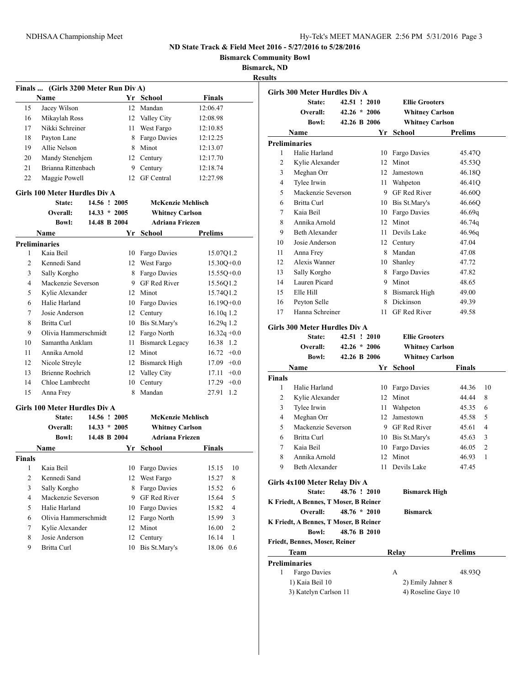**Bismarck Community Bowl**

**Bismarck, ND**

**Results**

|                | Finals  (Girls 3200 Meter Run Div A) |                |      |                          |                |
|----------------|--------------------------------------|----------------|------|--------------------------|----------------|
|                | Name                                 |                |      | Yr School                | <b>Finals</b>  |
| 15             | Jacey Wilson                         |                |      | 12 Mandan                | 12:06.47       |
| 16             | Mikaylah Ross                        |                |      | 12 Valley City           | 12:08.98       |
| 17             | Nikki Schreiner                      |                |      | 11 West Fargo            | 12:10.85       |
| 18             | Payton Lane                          |                |      | 8 Fargo Davies           | 12:12.25       |
| 19             | Allie Nelson                         |                |      | 8 Minot                  | 12:13.07       |
| 20             | Mandy Stenehjem                      |                |      | 12 Century               | 12:17.70       |
| 21             | Brianna Rittenbach                   |                |      | 9 Century                | 12:18.74       |
| 22             | Maggie Powell                        |                | 12   | <b>GF</b> Central        | 12:27.98       |
|                | <b>Girls 100 Meter Hurdles Div A</b> |                |      |                          |                |
|                | <b>State:</b>                        | 14.56 ! 2005   |      | <b>McKenzie Mehlisch</b> |                |
|                | Overall:                             | $14.33 * 2005$ |      | <b>Whitney Carlson</b>   |                |
|                | <b>Bowl:</b>                         | 14.48 B 2004   |      | <b>Adriana Friezen</b>   |                |
|                | Name                                 |                |      | Yr School                | Prelims        |
|                | <b>Preliminaries</b>                 |                |      |                          |                |
| 1              | Kaia Beil                            |                |      | 10 Fargo Davies          | 15.07Q1.2      |
| $\overline{c}$ | Kennedi Sand                         |                |      | 12 West Fargo            | $15.30Q + 0.0$ |
| 3              | Sally Korgho                         |                |      | 8 Fargo Davies           | $15.55Q+0.0$   |
| 4              | Mackenzie Severson                   |                |      | 9 GF Red River           | 15.56Q1.2      |
| 5              | Kylie Alexander                      |                |      | 12 Minot                 | 15.74Q1.2      |
| 6              | Halie Harland                        |                |      | 10 Fargo Davies          | $16.19Q+0.0$   |
| 7              | Josie Anderson                       |                |      | 12 Century               | $16.10q$ 1.2   |
| 8              | <b>Britta Curl</b>                   |                |      | 10 Bis St.Mary's         | 16.29q 1.2     |
| 9              | Olivia Hammerschmidt                 |                |      | 12 Fargo North           | $16.32q + 0.0$ |
| 10             | Samantha Anklam                      |                | 11 - | <b>Bismarck Legacy</b>   | 16.38 1.2      |
| 11             | Annika Arnold                        |                |      | 12 Minot                 | $16.72 +0.0$   |
| 12             | Nicole Streyle                       |                |      | 12 Bismarck High         | $17.09 +0.0$   |
| 13             | <b>Brienne Roehrich</b>              |                |      | 12 Valley City           | $17.11 + 0.0$  |
| 14             | Chloe Lambrecht                      |                |      | 10 Century               | $17.29 +0.0$   |
| 15             | Anna Frey                            |                | 8    | Mandan                   | 27.91 1.2      |
|                | Girls 100 Meter Hurdles Div A        |                |      |                          |                |
|                | <b>State:</b>                        | 14.56 ! 2005   |      | <b>McKenzie Mehlisch</b> |                |
|                | Overall:                             | $14.33 * 2005$ |      | <b>Whitney Carlson</b>   |                |
|                | <b>Bowl:</b>                         | 14.48 B 2004   |      | <b>Adriana Friezen</b>   |                |
|                | Name                                 |                | Yr   | School                   | Finals         |
| <b>Finals</b>  |                                      |                |      |                          |                |
| 1              | Kaia Beil                            |                | 10   | Fargo Davies             | 15.15<br>10    |
| 2              | Kennedi Sand                         |                |      | 12 West Fargo            | 15.27<br>8     |
| 3              | Sally Korgho                         |                | 8    | Fargo Davies             | 15.52<br>6     |
| 4              | Mackenzie Severson                   |                | 9.   | GF Red River             | 5<br>15.64     |
| 5              | Halie Harland                        |                | 10   | Fargo Davies             | 4<br>15.82     |
| 6              | Olivia Hammerschmidt                 |                | 12   | Fargo North              | 3<br>15.99     |
| 7              | Kylie Alexander                      |                | 12   | Minot                    | 2<br>16.00     |
| 8              | Josie Anderson                       |                | 12   | Century                  | 16.14<br>1     |
| 9              | Britta Curl                          |                | 10   | Bis St.Mary's            | 18.06 0.6      |
|                |                                      |                |      |                          |                |

|               | Girls 300 Meter Hurdles Div A                     |                |  |                     |                        |                         |
|---------------|---------------------------------------------------|----------------|--|---------------------|------------------------|-------------------------|
|               | <b>State:</b>                                     | 42.51 ! 2010   |  |                     | <b>Ellie Grooters</b>  |                         |
|               | Overall:                                          | $42.26 * 2006$ |  |                     | <b>Whitney Carlson</b> |                         |
|               | <b>Bowl:</b>                                      | 42.26 B 2006   |  |                     | <b>Whitney Carlson</b> |                         |
|               | Name                                              |                |  |                     | Yr School              | Prelims                 |
|               | <b>Preliminaries</b>                              |                |  |                     |                        |                         |
| 1             | Halie Harland                                     |                |  | 10                  | Fargo Davies           | 45.47Q                  |
| 2             | Kylie Alexander                                   |                |  | 12 <sup>2</sup>     | Minot                  | 45.53Q                  |
| 3             | Meghan Orr                                        |                |  | 12                  | Jamestown              | 46.18Q                  |
| 4             | Tylee Irwin                                       |                |  | 11 -                | Wahpeton               | 46.41Q                  |
| 5             | Mackenzie Severson                                |                |  |                     | 9 GF Red River         | 46.60Q                  |
| 6             | Britta Curl                                       |                |  |                     | 10 Bis St.Mary's       | 46.66Q                  |
| 7             | Kaia Beil                                         |                |  |                     | 10 Fargo Davies        | 46.69q                  |
| 8             | Annika Arnold                                     |                |  |                     | 12 Minot               | 46.74q                  |
| 9             | <b>Beth Alexander</b>                             |                |  |                     | 11 Devils Lake         | 46.96q                  |
| 10            | Josie Anderson                                    |                |  |                     | 12 Century             | 47.04                   |
| 11            | Anna Frey                                         |                |  |                     | 8 Mandan               | 47.08                   |
| 12            | Alexis Wanner                                     |                |  |                     | 10 Shanley             | 47.72                   |
| 13            | Sally Korgho                                      |                |  |                     | 8 Fargo Davies         | 47.82                   |
| 14            | Lauren Picard                                     |                |  |                     | 9 Minot                | 48.65                   |
| 15            | Elle Hill                                         |                |  | 8                   | Bismarck High          | 49.00                   |
| 16            | Peyton Selle                                      |                |  |                     | 8 Dickinson            | 49.39                   |
| 17            | Hanna Schreiner                                   |                |  | 11                  | <b>GF Red River</b>    | 49.58                   |
|               | Girls 300 Meter Hurdles Div A                     |                |  |                     |                        |                         |
|               | State:                                            | 42.51 ! 2010   |  |                     | <b>Ellie Grooters</b>  |                         |
|               | Overall:                                          | $42.26 * 2006$ |  |                     | <b>Whitney Carlson</b> |                         |
|               | <b>Bowl:</b>                                      | 42.26 B 2006   |  |                     | <b>Whitney Carlson</b> |                         |
|               | Name                                              |                |  | Yr                  | <b>School</b>          | <b>Finals</b>           |
| <b>Finals</b> |                                                   |                |  |                     |                        |                         |
| 1             | Halie Harland                                     |                |  | 10                  | Fargo Davies           | 44.36<br>10             |
| 2             | Kylie Alexander                                   |                |  |                     | 12 Minot               | 44.44<br>8              |
| 3             | Tylee Irwin                                       |                |  | 11                  | Wahpeton               | 45.35<br>6              |
| 4             | Meghan Orr                                        |                |  |                     | 12 Jamestown           | 45.58<br>5              |
| 5             | Mackenzie Severson                                |                |  |                     | 9 GF Red River         | 45.61<br>4              |
| 6             | Britta Curl                                       |                |  |                     | 10 Bis St.Mary's       | 45.63<br>3              |
| 7             | Kaia Beil                                         |                |  |                     | 10 Fargo Davies        | $\overline{2}$<br>46.05 |
| 8             | Annika Arnold                                     |                |  | 12                  | Minot                  | 1<br>46.93              |
| 9             | <b>Beth Alexander</b>                             |                |  | 11                  | Devils Lake            | 47.45                   |
|               | Girls 4x100 Meter Relay Div A                     |                |  |                     |                        |                         |
|               | State:                                            | 48.76 ! 2010   |  |                     | <b>Bismarck High</b>   |                         |
|               | K Friedt, A Bennes, T Moser, B Reiner<br>Overall: | $48.76 * 2010$ |  |                     | <b>Bismarck</b>        |                         |
|               | K Friedt, A Bennes, T Moser, B Reiner             |                |  |                     |                        |                         |
|               | <b>Bowl:</b>                                      | 48.76 B 2010   |  |                     |                        |                         |
|               | Friedt, Bennes, Moser, Reiner                     |                |  |                     |                        |                         |
|               | Team                                              |                |  |                     | Relay                  | Prelims                 |
|               | <b>Preliminaries</b>                              |                |  |                     |                        |                         |
| 1             | Fargo Davies                                      |                |  |                     | A                      | 48.93O                  |
|               | 1) Kaia Beil 10                                   |                |  |                     | 2) Emily Jahner 8      |                         |
|               | 3) Katelyn Carlson 11                             |                |  | 4) Roseline Gaye 10 |                        |                         |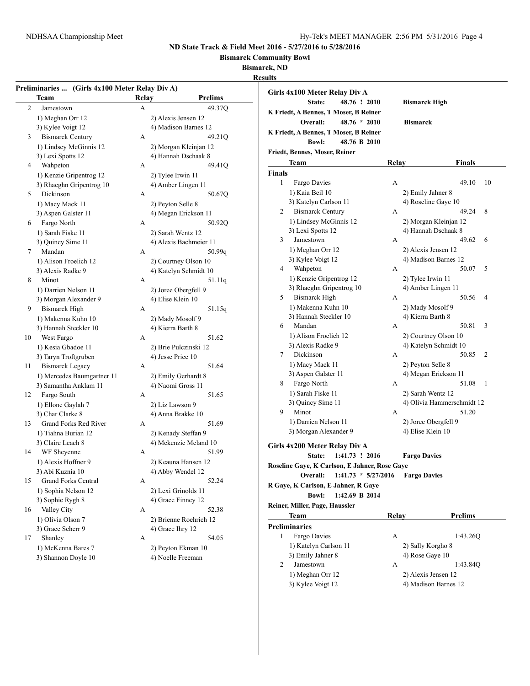**Bismarck Community Bowl**

**Bismarck, ND**

|    | Preliminaries  (Girls 4x100 Meter Relay Div A)<br>Team | Relay | <b>Prelims</b>                   |
|----|--------------------------------------------------------|-------|----------------------------------|
| 2  | Jamestown                                              | A     | 49.37Q                           |
|    | 1) Meghan Orr 12                                       |       | 2) Alexis Jensen 12              |
|    | 3) Kylee Voigt 12                                      |       | 4) Madison Barnes 12             |
| 3  | <b>Bismarck Century</b>                                | А     | 49.21Q                           |
|    | 1) Lindsey McGinnis 12                                 |       | 2) Morgan Kleinjan 12            |
|    | 3) Lexi Spotts 12                                      |       | 4) Hannah Dschaak 8              |
| 4  | Wahpeton                                               | A     | 49.41Q                           |
|    | 1) Kenzie Gripentrog 12                                |       | 2) Tylee Irwin 11                |
|    | 3) Rhaeghn Gripentrog 10                               |       | 4) Amber Lingen 11               |
| 5  | Dickinson                                              | А     | 50.67Q                           |
|    | 1) Macy Mack 11                                        |       | 2) Peyton Selle 8                |
|    | 3) Aspen Galster 11                                    |       | 4) Megan Erickson 11             |
| 6  | Fargo North                                            | A     | 50.92Q                           |
|    |                                                        |       |                                  |
|    | 1) Sarah Fiske 11                                      |       | 2) Sarah Wentz 12                |
| 7  | 3) Quincy Sime 11<br>Mandan                            | A     | 4) Alexis Bachmeier 11<br>50.99q |
|    |                                                        |       |                                  |
|    | 1) Alison Froelich 12                                  |       | 2) Courtney Olson 10             |
|    | 3) Alexis Radke 9                                      |       | 4) Katelyn Schmidt 10            |
| 8  | Minot                                                  | A     | 51.11q                           |
|    | 1) Darrien Nelson 11                                   |       | 2) Joree Obergfell 9             |
|    | 3) Morgan Alexander 9                                  |       | 4) Elise Klein 10                |
| 9  | <b>Bismarck High</b>                                   | A     | 51.15q                           |
|    | 1) Makenna Kuhn 10                                     |       | 2) Mady Mosolf 9                 |
|    | 3) Hannah Steckler 10                                  |       | 4) Kierra Barth 8                |
| 10 | West Fargo                                             | А     | 51.62                            |
|    | 1) Kesia Gbadoe 11                                     |       | 2) Brie Pulczinski 12            |
|    | 3) Taryn Troftgruben                                   |       | 4) Jesse Price 10                |
| 11 | <b>Bismarck Legacy</b>                                 | А     | 51.64                            |
|    | 1) Mercedes Baumgartner 11                             |       | 2) Emily Gerhardt 8              |
|    | 3) Samantha Anklam 11                                  |       | 4) Naomi Gross 11                |
| 12 | Fargo South                                            | А     | 51.65                            |
|    | 1) Ellone Gaylah 7                                     |       | 2) Liz Lawson 9                  |
|    | 3) Char Clarke 8                                       |       | 4) Anna Brakke 10                |
| 13 | Grand Forks Red River                                  | A     | 51.69                            |
|    | 1) Tiahna Burian 12                                    |       | 2) Kenady Steffan 9              |
|    | 3) Claire Leach 8                                      |       | 4) Mckenzie Meland 10            |
| 14 | WF Sheyenne                                            | А     | 51.99                            |
|    | 1) Alexis Hoffner 9                                    |       | 2) Keauna Hansen 12              |
|    | 3) Abi Kuznia 10                                       |       | 4) Abby Wendel 12                |
| 15 | <b>Grand Forks Central</b>                             | А     | 52.24                            |
|    | 1) Sophia Nelson 12                                    |       | 2) Lexi Grinolds 11              |
|    | 3) Sophie Rygh 8                                       |       | 4) Grace Finney 12               |
| 16 | Valley City                                            | А     | 52.38                            |
|    | 1) Olivia Olson 7                                      |       | 2) Brienne Roehrich 12           |
|    | 3) Grace Scherr 9                                      |       | 4) Grace Ihry 12                 |
| 17 | Shanley                                                | А     | 54.05                            |
|    | 1) McKenna Bares 7                                     |       | 2) Peyton Ekman 10               |
|    | 3) Shannon Doyle 10                                    |       | 4) Noelle Freeman                |

| Girls 4x100 Meter Relay Div A                 |                                               |       |                                              |    |
|-----------------------------------------------|-----------------------------------------------|-------|----------------------------------------------|----|
| State:                                        | 48.76 ! 2010                                  |       | <b>Bismarck High</b>                         |    |
|                                               | K Friedt, A Bennes, T Moser, B Reiner         |       |                                              |    |
| Overall:                                      | $48.76 * 2010$                                |       | <b>Bismarck</b>                              |    |
|                                               | K Friedt, A Bennes, T Moser, B Reiner         |       |                                              |    |
| <b>Bowl:</b>                                  | 48.76 B 2010                                  |       |                                              |    |
| Friedt, Bennes, Moser, Reiner                 |                                               |       |                                              |    |
|                                               |                                               |       |                                              |    |
| Team                                          |                                               | Relay | Finals                                       |    |
| <b>Finals</b><br>$\mathbf{1}$<br>Fargo Davies |                                               | А     | 49.10                                        | 10 |
| 1) Kaia Beil 10                               |                                               |       |                                              |    |
| 3) Katelyn Carlson 11                         |                                               |       | 2) Emily Jahner 8<br>4) Roseline Gaye 10     |    |
| <b>Bismarck Century</b><br>2                  |                                               | A     | 49.24                                        | 8  |
|                                               | 1) Lindsey McGinnis 12                        |       |                                              |    |
| 3) Lexi Spotts 12                             |                                               |       | 2) Morgan Kleinjan 12<br>4) Hannah Dschaak 8 |    |
| 3<br>Jamestown                                |                                               | A     | 49.62                                        | 6  |
|                                               |                                               |       |                                              |    |
| 1) Meghan Orr 12<br>3) Kylee Voigt 12         |                                               |       | 2) Alexis Jensen 12<br>4) Madison Barnes 12  |    |
| Wahpeton<br>4                                 |                                               | A     | 50.07                                        | 5  |
|                                               | 1) Kenzie Gripentrog 12                       |       | 2) Tylee Irwin 11                            |    |
|                                               | 3) Rhaeghn Gripentrog 10                      |       | 4) Amber Lingen 11                           |    |
| 5<br><b>Bismarck High</b>                     |                                               | A     | 50.56                                        | 4  |
| 1) Makenna Kuhn 10                            |                                               |       | 2) Mady Mosolf 9                             |    |
| 3) Hannah Steckler 10                         |                                               |       | 4) Kierra Barth 8                            |    |
| Mandan<br>6                                   |                                               | A     | 50.81                                        | 3  |
| 1) Alison Froelich 12                         |                                               |       | 2) Courtney Olson 10                         |    |
| 3) Alexis Radke 9                             |                                               |       | 4) Katelyn Schmidt 10                        |    |
| Dickinson<br>7                                |                                               | A     | 50.85                                        | 2  |
| 1) Macy Mack 11                               |                                               |       | 2) Peyton Selle 8                            |    |
| 3) Aspen Galster 11                           |                                               |       | 4) Megan Erickson 11                         |    |
| Fargo North<br>8                              |                                               | A     | 51.08                                        | 1  |
| 1) Sarah Fiske 11                             |                                               |       | 2) Sarah Wentz 12                            |    |
| 3) Quincy Sime 11                             |                                               |       | 4) Olivia Hammerschmidt 12                   |    |
| 9<br>Minot                                    |                                               | А     | 51.20                                        |    |
| 1) Darrien Nelson 11                          |                                               |       | 2) Joree Obergfell 9                         |    |
| 3) Morgan Alexander 9                         |                                               |       | 4) Elise Klein 10                            |    |
|                                               |                                               |       |                                              |    |
| Girls 4x200 Meter Relay Div A                 |                                               |       |                                              |    |
| State:                                        | 1:41.73 ! 2016                                |       | <b>Fargo Davies</b>                          |    |
|                                               | Roseline Gaye, K Carlson, E Jahner, Rose Gaye |       |                                              |    |
| Overall:                                      | $1:41.73 * 5/27/2016$                         |       | <b>Fargo Davies</b>                          |    |
|                                               | R Gaye, K Carlson, E Jahner, R Gaye           |       |                                              |    |
| <b>Bowl:</b>                                  | 1:42.69 B 2014                                |       |                                              |    |
| Reiner, Miller, Page, Haussler                |                                               |       |                                              |    |
| Team                                          |                                               | Relay | <b>Prelims</b>                               |    |
| <b>Preliminaries</b>                          |                                               |       |                                              |    |
| 1<br>Fargo Davies                             |                                               | A     | 1:43.26Q                                     |    |
| 1) Katelyn Carlson 11                         |                                               |       | 2) Sally Korgho 8                            |    |
| 3) Emily Jahner 8                             |                                               |       | 4) Rose Gaye 10                              |    |
| Jamestown<br>2                                |                                               | A     | 1:43.84Q                                     |    |
| 1) Meghan Orr 12                              |                                               |       | 2) Alexis Jensen 12                          |    |

3) Kylee Voigt 12 4) Madison Barnes 12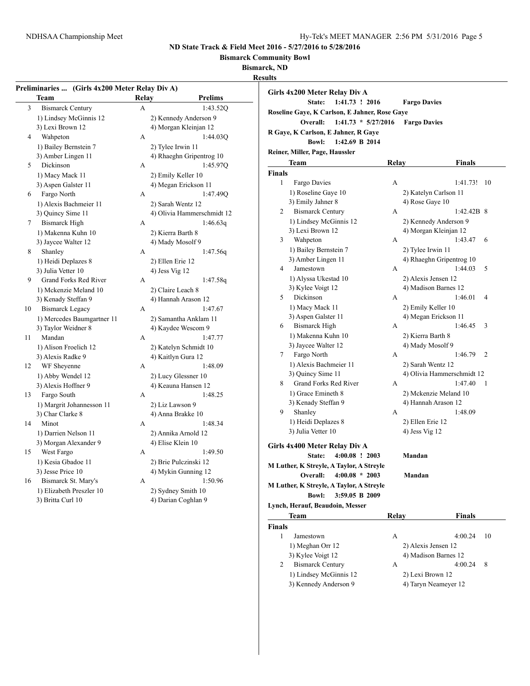**Bismarck Community Bowl**

**Bismarck, ND**

|  | Results |
|--|---------|
|  |         |

|        | Team                         | Relav | <b>Prelims</b>               | Girls 4x200 Meter Relay Div A<br>State:<br>1:41.73 ! 2016 |       | <b>Fargo Davies</b>        |               |                |
|--------|------------------------------|-------|------------------------------|-----------------------------------------------------------|-------|----------------------------|---------------|----------------|
| 3      | <b>Bismarck Century</b>      | A     | 1:43.52Q                     | Roseline Gave, K Carlson, E Jahner, Rose Gave             |       |                            |               |                |
|        | 1) Lindsey McGinnis 12       |       | 2) Kennedy Anderson 9        | Overall:<br>$1:41.73 * 5/27/2016$                         |       | <b>Fargo Davies</b>        |               |                |
|        | 3) Lexi Brown 12             |       | 4) Morgan Kleinjan 12        |                                                           |       |                            |               |                |
| 4      | Wahpeton                     | A     | 1:44.03Q                     | R Gaye, K Carlson, E Jahner, R Gaye                       |       |                            |               |                |
|        | 1) Bailey Bernstein 7        |       | 2) Tylee Irwin 11            | <b>Bowl:</b><br>1:42.69 B 2014                            |       |                            |               |                |
|        | 3) Amber Lingen 11           |       | 4) Rhaeghn Gripentrog 10     | Reiner, Miller, Page, Haussler                            |       |                            |               |                |
| 5      | Dickinson                    | A     | 1:45.970                     | Team                                                      | Relay |                            | <b>Finals</b> |                |
|        | 1) Macy Mack 11              |       | 2) Emily Keller 10           | <b>Finals</b>                                             |       |                            |               |                |
|        | 3) Aspen Galster 11          |       | 4) Megan Erickson 11         | $\mathbf{1}$<br>Fargo Davies                              | A     |                            | 1:41.73! 10   |                |
| 6      | Fargo North                  | A     | 1:47.490                     | 1) Roseline Gaye 10                                       |       | 2) Katelyn Carlson 11      |               |                |
|        | 1) Alexis Bachmeier 11       |       | 2) Sarah Wentz 12            | 3) Emily Jahner 8                                         |       | 4) Rose Gaye 10            |               |                |
|        | 3) Quincy Sime 11            |       | 4) Olivia Hammerschmidt 12   | 2<br><b>Bismarck Century</b>                              | A     |                            | $1:42.42B$ 8  |                |
| $\tau$ | <b>Bismarck High</b>         | A     | 1:46.63q                     | 1) Lindsey McGinnis 12                                    |       | 2) Kennedy Anderson 9      |               |                |
|        | 1) Makenna Kuhn 10           |       | 2) Kierra Barth 8            | 3) Lexi Brown 12                                          |       | 4) Morgan Kleinjan 12      |               |                |
|        | 3) Jaycee Walter 12          |       | 4) Mady Mosolf 9             | Wahpeton<br>3                                             | A     |                            | $1:43.47$ 6   |                |
| 8      | Shanley                      | A     | 1:47.56q                     | 1) Bailey Bernstein 7                                     |       | 2) Tylee Irwin 11          |               |                |
|        | 1) Heidi Deplazes 8          |       | 2) Ellen Erie 12             | 3) Amber Lingen 11                                        |       | 4) Rhaeghn Gripentrog 10   |               |                |
|        | 3) Julia Vetter 10           |       | 4) Jess Vig $12$             | Jamestown<br>4                                            | A     |                            | 1:44.03       | $\overline{5}$ |
| 9      | <b>Grand Forks Red River</b> | A     | 1:47.58q                     | 1) Alyssa Ukestad 10                                      |       | 2) Alexis Jensen 12        |               |                |
|        | 1) Mckenzie Meland 10        |       | 2) Claire Leach 8            | 3) Kylee Voigt 12                                         |       | 4) Madison Barnes 12       |               |                |
|        | 3) Kenady Steffan 9          |       | 4) Hannah Arason 12          | Dickinson<br>5                                            | A     |                            | 1:46.01       | $\overline{4}$ |
| 10     | <b>Bismarck Legacy</b>       | A     | 1:47.67                      | 1) Macy Mack 11                                           |       | 2) Emily Keller 10         |               |                |
|        | 1) Mercedes Baumgartner 11   |       | 2) Samantha Anklam 11        | 3) Aspen Galster 11                                       |       | 4) Megan Erickson 11       |               |                |
|        | 3) Taylor Weidner 8          |       | 4) Kaydee Wescom 9           | Bismarck High<br>6                                        | A     |                            | $1:46.45$ 3   |                |
| 11     | Mandan                       | A     | 1:47.77                      | 1) Makenna Kuhn 10                                        |       | 2) Kierra Barth 8          |               |                |
|        | 1) Alison Froelich 12        |       | 2) Katelyn Schmidt 10        | 3) Jaycee Walter 12                                       |       | 4) Mady Mosolf 9           |               |                |
|        | 3) Alexis Radke 9            |       | 4) Kaitlyn Gura 12           | 7<br>Fargo North                                          | A     |                            | 1:46.79       | $\overline{2}$ |
| 12     | WF Sheyenne                  | A     | 1:48.09                      | 1) Alexis Bachmeier 11                                    |       | 2) Sarah Wentz 12          |               |                |
|        | 1) Abby Wendel 12            |       | 2) Lucy Glessner 10          | 3) Quincy Sime 11                                         |       | 4) Olivia Hammerschmidt 12 |               |                |
|        | 3) Alexis Hoffner 9          |       | 4) Keauna Hansen 12          | 8<br>Grand Forks Red River                                | A     |                            | 1:47.40       | $\overline{1}$ |
| 13     |                              | A     | 1:48.25                      | 1) Grace Emineth 8                                        |       | 2) Mckenzie Meland 10      |               |                |
|        | Fargo South                  |       |                              | 3) Kenady Steffan 9                                       |       | 4) Hannah Arason 12        |               |                |
|        | 1) Margrit Johannesson 11    |       | 2) Liz Lawson 9              | 9<br>Shanley                                              | A     |                            | 1:48.09       |                |
| 14     | 3) Char Clarke 8<br>Minot    |       | 4) Anna Brakke 10<br>1:48.34 | 1) Heidi Deplazes 8                                       |       | 2) Ellen Erie 12           |               |                |
|        |                              | A     |                              | 3) Julia Vetter 10                                        |       | 4) Jess Vig $12$           |               |                |
|        | 1) Darrien Nelson 11         |       | 2) Annika Arnold 12          |                                                           |       |                            |               |                |
|        | 3) Morgan Alexander 9        |       | 4) Elise Klein 10            | Girls 4x400 Meter Relay Div A                             |       |                            |               |                |
| 15     | West Fargo                   | A     | 1:49.50                      | State:<br>$4:00.08$ ! 2003                                |       | Mandan                     |               |                |
|        | 1) Kesia Gbadoe 11           |       | 2) Brie Pulczinski 12        | M Luther, K Streyle, A Taylor, A Streyle                  |       |                            |               |                |
|        | 3) Jesse Price 10            |       | 4) Mykin Gunning 12          | Overall:<br>$4:00.08 * 2003$                              |       | Mandan                     |               |                |
| 16     | Bismarck St. Mary's          | A     | 1:50.96                      | M Luther, K Streyle, A Taylor, A Streyle                  |       |                            |               |                |
|        | 1) Elizabeth Preszler 10     |       | 2) Sydney Smith 10           | <b>Bowl:</b><br>3:59.05 B 2009                            |       |                            |               |                |
|        | 3) Britta Curl 10            |       | 4) Darian Coghlan 9          | Lynch, Herauf, Beaudoin, Messer                           |       |                            |               |                |
|        |                              |       |                              | <b>Team</b>                                               | Relay |                            | <b>Finals</b> |                |

| Team                         | Relav               | Finals               |
|------------------------------|---------------------|----------------------|
| <b>Finals</b>                |                     |                      |
| Jamestown                    | А                   | 4:00.24<br>10        |
| 1) Meghan Orr 12             | 2) Alexis Jensen 12 |                      |
| 3) Kylee Voigt 12            |                     | 4) Madison Barnes 12 |
| <b>Bismarck Century</b><br>2 | А                   | 4:00.24<br>8         |
| 1) Lindsey McGinnis 12       | 2) Lexi Brown 12    |                      |
| 3) Kennedy Anderson 9        |                     | 4) Taryn Neameyer 12 |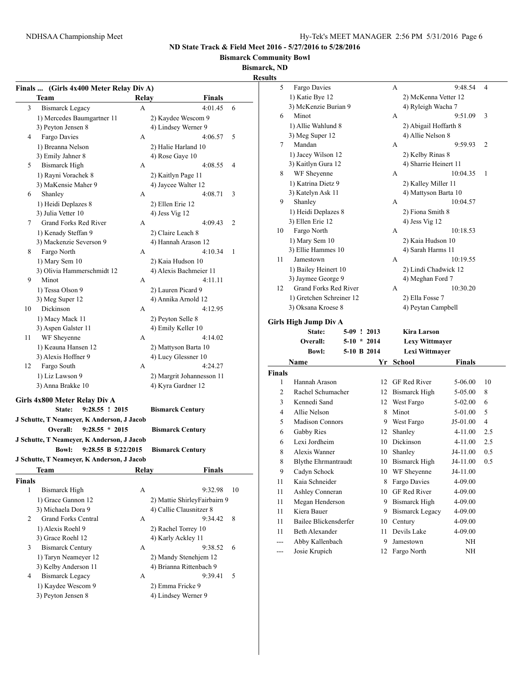**Bismarck Community Bowl**

#### **Bismarck, ND**

**Results**

|               | Finals  (Girls 4x400 Meter Relay Div A)              |              |                                |    | 5      | Fargo I             |
|---------------|------------------------------------------------------|--------------|--------------------------------|----|--------|---------------------|
|               | <b>Team</b>                                          | Relay        | <b>Finals</b>                  |    |        | 1) Katie            |
| 3             | <b>Bismarck Legacy</b>                               | A            | 4:01.45                        | 6  |        | 3) McKe             |
|               | 1) Mercedes Baumgartner 11                           |              | 2) Kaydee Wescom 9             |    | 6      | Minot               |
|               | 3) Peyton Jensen 8                                   |              | 4) Lindsey Werner 9            |    |        | $1)$ Allie $'$      |
| 4             | Fargo Davies                                         | A            | 4:06.57                        | 5  |        | 3) Meg S            |
|               | 1) Breanna Nelson                                    |              | 2) Halie Harland 10            |    | 7      | Manda               |
|               | 3) Emily Jahner 8                                    |              | 4) Rose Gaye 10                |    |        | 1) Jacey            |
| 5             | <b>Bismarck High</b>                                 | A            | 4:08.55                        | 4  |        | 3) Kaitly           |
|               | 1) Rayni Vorachek 8                                  |              | 2) Kaitlyn Page 11             |    | 8      | WF Sh               |
|               | 3) MaKensie Maher 9                                  |              | 4) Jaycee Walter 12            |    |        | 1) Katrin           |
| 6             | Shanley                                              | A            | 4:08.71                        | 3  | 9      | 3) Kately<br>Shanle |
|               | 1) Heidi Deplazes 8                                  |              | 2) Ellen Erie 12               |    |        | 1) Heidi            |
|               | 3) Julia Vetter 10                                   |              | 4) Jess Vig 12                 |    |        | 3) Ellen            |
| 7             | Grand Forks Red River                                | A            | 4:09.43                        | 2  | 10     | Fargo l             |
|               | 1) Kenady Steffan 9                                  |              | 2) Claire Leach 8              |    |        | 1) Mary             |
| 8             | 3) Mackenzie Severson 9<br>Fargo North               | A            | 4) Hannah Arason 12<br>4:10.34 | 1  |        | 3) Ellie I          |
|               | 1) Mary Sem 10                                       |              | 2) Kaia Hudson 10              |    | 11     | Jamest              |
|               | 3) Olivia Hammerschmidt 12                           |              | 4) Alexis Bachmeier 11         |    |        | 1) Bailey           |
| 9             | Minot                                                | A            | 4:11.11                        |    |        | 3) Jayme            |
|               | 1) Tessa Olson 9                                     |              | 2) Lauren Picard 9             |    | 12     | Grand               |
|               | 3) Meg Super 12                                      |              | 4) Annika Arnold 12            |    |        | 1) Gretcl           |
| 10            | Dickinson                                            | A            | 4:12.95                        |    |        | 3) Oksan            |
|               | 1) Macy Mack 11                                      |              | 2) Peyton Selle 8              |    |        |                     |
|               | 3) Aspen Galster 11                                  |              | 4) Emily Keller 10             |    |        | Girls High Ju       |
| 11            | WF Sheyenne                                          | A            | 4:14.02                        |    |        | St                  |
|               | 1) Keauna Hansen 12                                  |              | 2) Mattyson Barta 10           |    |        | Over                |
|               | 3) Alexis Hoffner 9                                  |              | 4) Lucy Glessner 10            |    |        | $\bf{B}$            |
| 12            | Fargo South                                          | A            | 4:24.27                        |    |        | <b>Name</b>         |
|               | 1) Liz Lawson 9                                      |              | 2) Margrit Johannesson 11      |    | Finals |                     |
|               | 3) Anna Brakke 10                                    |              | 4) Kyra Gardner 12             |    | 1      | Hannal              |
|               |                                                      |              |                                |    | 2      | Rachel              |
|               | Girls 4x800 Meter Relay Div A<br>9:28.55 ! 2015      |              |                                |    | 3      | Kenned              |
|               | State:<br>J Schutte, T Neameyer, K Anderson, J Jacob |              | <b>Bismarck Century</b>        |    | 4      | Allie N             |
|               | $9:28.55 * 2015$<br>Overall:                         |              |                                |    | 5      | Madisc              |
|               |                                                      |              | <b>Bismarck Century</b>        |    | 6      | Gabby               |
|               | J Schutte, T Neameyer, K Anderson, J Jacob           |              |                                |    | 6      | Lexi Jo             |
|               | 9:28.55 B 5/22/2015<br><b>Bowl:</b>                  |              | <b>Bismarck Century</b>        |    | 8      | Alexis              |
|               | J Schutte, T Neameyer, K Anderson, J Jacob           |              |                                |    | 8      | Blythe              |
|               |                                                      | <b>Relav</b> | Finals                         |    | 9      | Cadyn               |
| <b>Finals</b> |                                                      |              |                                |    | 11     | Kaia S              |
| 1             | <b>Bismarck High</b>                                 | A            | 9:32.98                        | 10 | 11     | Ashley              |
|               | 1) Grace Gannon 12                                   |              | 2) Mattie ShirleyFairbairn 9   |    | 11     | Megan               |
|               | 3) Michaela Dora 9                                   |              | 4) Callie Clausnitzer 8        |    | 11     | Kiera I             |
| 2             | <b>Grand Forks Central</b>                           | A            | 9:34.42                        | 8  | 11     | Bailee              |
|               | 1) Alexis Roehl 9                                    |              | 2) Rachel Torrey 10            |    | 11     | Beth A              |
|               | 3) Grace Roehl 12                                    |              | 4) Karly Ackley 11             |    | ---    | Abby I              |
| 3             | <b>Bismarck Century</b>                              | A            | 9:38.52                        | 6  | ---    | Josie K             |
|               | 1) Taryn Neameyer 12                                 |              | 2) Mandy Stenehjem 12          |    |        |                     |
| 4             | 3) Kelby Anderson 11                                 |              | 4) Brianna Rittenbach 9        |    |        |                     |
|               | <b>Bismarck Legacy</b><br>1) Kaydee Wescom 9         | A            | 9:39.41<br>2) Emma Fricke 9    | 5  |        |                     |
|               | 3) Peyton Jensen 8                                   |              | 4) Lindsey Werner 9            |    |        |                     |
|               |                                                      |              |                                |    |        |                     |
|               |                                                      |              |                                |    |        |                     |

| lts            |                                                    |               |    |                        |             |     |
|----------------|----------------------------------------------------|---------------|----|------------------------|-------------|-----|
| 5              | Fargo Davies                                       |               |    | А                      | 9:48.54     | 4   |
|                | 1) Katie Bye 12                                    |               |    | 2) McKenna Vetter 12   |             |     |
|                | 3) McKenzie Burian 9                               |               |    | 4) Ryleigh Wacha 7     |             |     |
| 6              | Minot                                              |               |    | А                      | 9:51.09     | 3   |
|                | 1) Allie Wahlund 8                                 |               |    | 2) Abigail Hoffarth 8  |             |     |
|                | 3) Meg Super 12                                    |               |    | 4) Allie Nelson 8      |             |     |
| 7              | Mandan                                             |               |    | А                      | 9:59.93     | 2   |
|                | 1) Jacey Wilson 12                                 |               |    | 2) Kelby Rinas 8       |             |     |
|                | 3) Kaitlyn Gura 12                                 |               |    | 4) Sharrie Heinert 11  |             |     |
| 8              | WF Sheyenne                                        |               |    | A                      | 10:04.35    | 1   |
|                | 1) Katrina Dietz 9                                 |               |    | 2) Kalley Miller 11    |             |     |
|                | 3) Katelyn Ask 11                                  |               |    | 4) Mattyson Barta 10   |             |     |
| 9              | Shanley                                            |               |    | А                      | 10:04.57    |     |
|                | 1) Heidi Deplazes 8                                |               |    | 2) Fiona Smith 8       |             |     |
|                | 3) Ellen Erie 12                                   |               |    | 4) Jess Vig 12         |             |     |
| 10             | Fargo North                                        |               |    | A                      | 10:18.53    |     |
|                | 1) Mary Sem 10                                     |               |    | 2) Kaia Hudson 10      |             |     |
|                | 3) Ellie Hammes 10                                 |               |    | 4) Sarah Harms 11      |             |     |
| 11             | Jamestown                                          |               |    | A                      | 10:19.55    |     |
|                | 1) Bailey Heinert 10                               |               |    | 2) Lindi Chadwick 12   |             |     |
| 12             | 3) Jaymee George 9<br><b>Grand Forks Red River</b> |               |    | 4) Meghan Ford 7       |             |     |
|                |                                                    |               |    | A                      | 10:30.20    |     |
|                | 1) Gretchen Schreiner 12                           |               |    | 2) Ella Fosse 7        |             |     |
|                | 3) Oksana Kroese 8                                 |               |    | 4) Peytan Campbell     |             |     |
|                | Girls High Jump Div A                              |               |    |                        |             |     |
|                | State:                                             | 5-09 ! 2013   |    | Kira Larson            |             |     |
|                | Overall:                                           | $5-10 * 2014$ |    | <b>Lexy Wittmayer</b>  |             |     |
|                |                                                    |               |    |                        |             |     |
|                | <b>Bowl:</b>                                       | 5-10 B 2014   |    | Lexi Wittmayer         |             |     |
|                | Name                                               |               |    | Yr School              | Finals      |     |
| Finals         |                                                    |               |    |                        |             |     |
| 1              | Hannah Arason                                      |               | 12 | GF Red River           | 5-06.00     | 10  |
| $\overline{c}$ | Rachel Schumacher                                  |               |    | 12 Bismarck High       | 5-05.00     | 8   |
| 3              | Kennedi Sand                                       |               |    | 12 West Fargo          | 5-02.00     | 6   |
| 4              | Allie Nelson                                       |               |    | 8 Minot                | 5-01.00     | 5   |
| 5              | <b>Madison Connors</b>                             |               |    | 9 West Fargo           | J5-01.00    | 4   |
| 6              | Gabby Ries                                         |               |    | 12 Shanley             | 4-11.00     | 2.5 |
| 6              | Lexi Jordheim                                      |               |    | 10 Dickinson           | $4 - 11.00$ | 2.5 |
| 8              | Alexis Wanner                                      |               | 10 | Shanley                | J4-11.00    | 0.5 |
| 8              | <b>Blythe Ehrmantraudt</b>                         |               |    | 10 Bismarck High       | J4-11.00    | 0.5 |
| 9              | Cadyn Schock                                       |               |    | 10 WF Sheyenne         | J4-11.00    |     |
| 11             | Kaia Schneider                                     |               | 8  | Fargo Davies           | 4-09.00     |     |
| 11             | Ashley Conneran                                    |               | 10 | GF Red River           | 4-09.00     |     |
| 11             | Megan Henderson                                    |               | 9  | <b>Bismarck High</b>   | 4-09.00     |     |
| 11             | Kiera Bauer                                        |               | 9  | <b>Bismarck Legacy</b> | 4-09.00     |     |
| 11             | <b>Bailee Blickensderfer</b>                       |               | 10 | Century                | 4-09.00     |     |
| 11             | <b>Beth Alexander</b>                              |               | 11 | Devils Lake            | 4-09.00     |     |
| …              | Abby Kallenbach                                    |               | 9  | Jamestown              | NH          |     |
| ---            | Josie Krupich                                      |               | 12 | Fargo North            | NΗ          |     |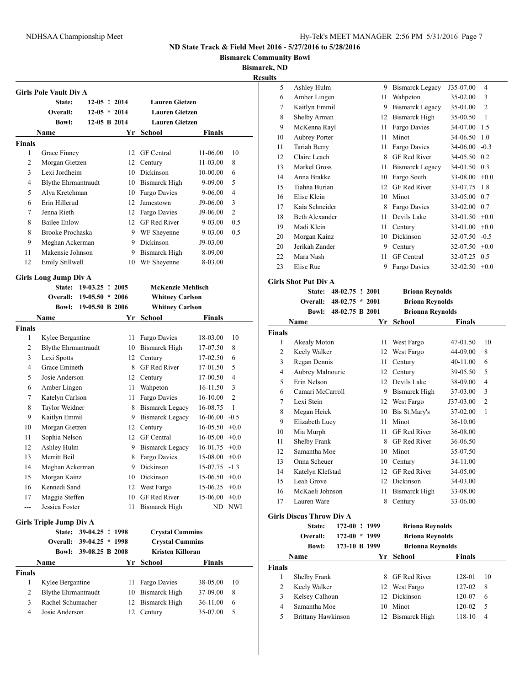#### NDHSAA Championship Meet Hy-Tek's MEET MANAGER 2:56 PM 5/31/2016 Page 7

#### **ND State Track & Field Meet 2016 - 5/27/2016 to 5/28/2016**

**Bismarck Community Bowl**

**Bismarck, ND**

**Results**

|                    | <b>Girls Pole Vault Div A</b>  |                   |    |                          |               |                |
|--------------------|--------------------------------|-------------------|----|--------------------------|---------------|----------------|
|                    | State:                         | $12-05$ ! 2014    |    | <b>Lauren Gietzen</b>    |               |                |
|                    | Overall:                       | $12-05 * 2014$    |    | <b>Lauren Gietzen</b>    |               |                |
|                    | <b>Bowl:</b>                   | 12-05 B 2014      |    | <b>Lauren Gietzen</b>    |               |                |
|                    | <b>Name</b>                    |                   | Yr | School                   | Finals        |                |
| <b>Finals</b>      |                                |                   |    |                          |               |                |
| 1                  | Grace Finney                   |                   | 12 | <b>GF</b> Central        | 11-06.00      | 10             |
| 2                  | Morgan Gietzen                 |                   | 12 | Century                  | 11-03.00      | 8              |
| 3                  | Lexi Jordheim                  |                   | 10 | Dickinson                | 10-00.00      | 6              |
| 4                  | <b>Blythe Ehrmantraudt</b>     |                   | 10 | <b>Bismarck High</b>     | 9-09.00       | 5              |
| 5                  | Alya Kretchman                 |                   | 10 | Fargo Davies             | 9-06.00       | 4              |
| 6                  | Erin Hillerud                  |                   | 12 | Jamestown                | J9-06.00      | 3              |
| 7                  | Jenna Rieth                    |                   | 12 | Fargo Davies             | J9-06.00      | $\overline{c}$ |
| 8                  | <b>Bailee Enlow</b>            |                   |    | 12 GF Red River          | 9-03.00       | 0.5            |
| 8                  | Brooke Prochaska               |                   |    | 9 WF Sheyenne            | 9-03.00       | 0.5            |
| 9                  | Meghan Ackerman                |                   |    | 9 Dickinson              | J9-03.00      |                |
| 11                 | Makensie Johnson               |                   | 9  | Bismarck High            | 8-09.00       |                |
| 12                 | Emily Stillwell                |                   | 10 | WF Sheyenne              | 8-03.00       |                |
|                    | <b>Girls Long Jump Div A</b>   |                   |    |                          |               |                |
|                    | State:                         | 19-03.25 ! 2005   |    | <b>McKenzie Mehlisch</b> |               |                |
|                    | Overall:                       | $19-05.50 * 2006$ |    | <b>Whitney Carlson</b>   |               |                |
|                    | <b>Bowl:</b>                   | 19-05.50 B 2006   |    | <b>Whitney Carlson</b>   |               |                |
|                    | Name                           |                   | Yr | <b>School</b>            | Finals        |                |
| <b>Finals</b>      |                                |                   |    |                          |               |                |
| 1                  | Kylee Bergantine               |                   | 11 | Fargo Davies             | 18-03.00      | 10             |
| $\mathbf{2}$       | <b>Blythe Ehrmantraudt</b>     |                   | 10 | <b>Bismarck High</b>     | 17-07.50      | 8              |
| 3                  | Lexi Spotts                    |                   | 12 | Century                  | 17-02.50      | 6              |
| 4                  | Grace Emineth                  |                   | 8  | <b>GF</b> Red River      | 17-01.50      | 5              |
| 5                  | Josie Anderson                 |                   | 12 | Century                  | 17-00.50      | $\overline{4}$ |
| 6                  | Amber Lingen                   |                   | 11 | Wahpeton                 | 16-11.50      | 3              |
| 7                  | Katelyn Carlson                |                   | 11 | Fargo Davies             | $16 - 10.00$  | $\overline{2}$ |
| 8                  | Taylor Weidner                 |                   |    | 8 Bismarck Legacy        | 16-08.75      | 1              |
| 9                  | Kaitlyn Emmil                  |                   | 9  | <b>Bismarck Legacy</b>   | 16-06.00      | $-0.5$         |
| 10                 | Morgan Gietzen                 |                   | 12 | Century                  | 16-05.50      | $+0.0$         |
| 11                 | Sophia Nelson                  |                   |    | 12 GF Central            | 16-05.00      | $+0.0$         |
| 12                 | Ashley Hulm                    |                   | 9  | <b>Bismarck Legacy</b>   | 16-01.75      | $+0.0$         |
| 13                 | Merritt Beil                   |                   | 8  | Fargo Davies             | 15-08.00      | $+0.0$         |
| 14                 | Meghan Ackerman                |                   | 9  | Dickinson                | 15-07.75      | $-1.3$         |
| 15                 | Morgan Kainz                   |                   | 10 | Dickinson                | 15-06.50      | $+0.0$         |
| 16                 | Kennedi Sand                   |                   | 12 | West Fargo               | 15-06.25      | $+0.0$         |
| 17                 | Maggie Steffen                 |                   | 10 | <b>GF</b> Red River      | 15-06.00      | $+0.0$         |
| ---                | Jessica Foster                 |                   | 11 | <b>Bismarck High</b>     |               | ND NWI         |
|                    |                                |                   |    |                          |               |                |
|                    | <b>Girls Triple Jump Div A</b> |                   |    |                          |               |                |
|                    | <b>State:</b>                  | 39-04.25 ! 1998   |    | <b>Crystal Cummins</b>   |               |                |
|                    | Overall:                       | $39-04.25 * 1998$ |    | <b>Crystal Cummins</b>   |               |                |
|                    |                                | 39-08.25 B 2008   |    | Kristen Killoran         |               |                |
|                    | Bowl:                          |                   | Yr | <b>School</b>            | <b>Finals</b> |                |
|                    | Name                           |                   |    |                          |               |                |
|                    |                                |                   |    |                          |               |                |
| <b>Finals</b><br>1 | Kylee Bergantine               |                   | 11 | Fargo Davies             | 38-05.00      | 10             |
| 2                  | <b>Blythe Ehrmantraudt</b>     |                   | 10 | <b>Bismarck High</b>     | 37-09.00      | 8              |
| 3                  | Rachel Schumacher              |                   | 12 | <b>Bismarck High</b>     | 36-11.00      | 6              |

| 5  | Ashley Hulm          | 9  | Bismarck Legacy     | J35-07.00 | 4              |
|----|----------------------|----|---------------------|-----------|----------------|
| 6  | Amber Lingen         | 11 | Wahpeton            | 35-02.00  | 3              |
| 7  | Kaitlyn Emmil        | 9  | Bismarck Legacy     | 35-01.00  | $\overline{2}$ |
| 8  | Shelby Arman         | 12 | Bismarck High       | 35-00.50  | 1              |
| 9  | McKenna Rayl         | 11 | Fargo Davies        | 34-07.00  | 1.5            |
| 10 | <b>Aubrey Porter</b> | 11 | Minot               | 34-06.50  | 1.0            |
| 11 | Tariah Berry         | 11 | Fargo Davies        | 34-06.00  | $-0.3$         |
| 12 | Claire Leach         | 8  | <b>GF</b> Red River | 34-05.50  | 0.2            |
| 13 | Markel Gross         | 11 | Bismarck Legacy     | 34-01.50  | 0.3            |
| 14 | Anna Brakke          | 10 | Fargo South         | 33-08.00  | $+0.0$         |
| 15 | Tiahna Burian        | 12 | <b>GF</b> Red River | 33-07.75  | 1.8            |
| 16 | Elise Klein          | 10 | Minot               | 33-05.00  | 0.7            |
| 17 | Kaia Schneider       | 8  | Fargo Davies        | 33-02.00  | 0.7            |
| 18 | Beth Alexander       | 11 | Devils Lake         | 33-01.50  | $+0.0$         |
| 19 | Madi Klein           | 11 | Century             | 33-01.00  | $+0.0$         |
| 20 | Morgan Kainz         | 10 | Dickinson           | 32-07.50  | $-0.5$         |
| 20 | Jerikah Zander       | 9  | Century             | 32-07.50  | $+0.0$         |
| 22 | Mara Nash            | 11 | <b>GF</b> Central   | 32-07.25  | 0.5            |
| 23 | Elise Rue            | 9  | Fargo Davies        | 32-02.50  | $+0.0$         |

**Girls Shot Put Div A State: 48-02.75 ! 2001 Briona Reynolds Overall: 48-02.75 \* 2001 Briona Reynolds Bowl: 48-02.75 B 2001 Brionna Reynolds Name Yr School Finals Finals** Akealy Moton 11 West Fargo 47-01.50 10 Keely Walker 12 West Fargo 44-09.00 8 Regan Dennis 11 Century 40-11.00 6 Aubrey Malnourie 12 Century 39-05.50 5 Erin Nelson 12 Devils Lake 38-09.00 4 Camari McCarroll 9 Bismarck High 37-03.00 3 Lexi Stein 12 West Fargo J37-03.00 2 Megan Heick 10 Bis St.Mary's 37-02.00 1 Elizabeth Lucy 11 Minot 36-10.00 Mia Murph 11 GF Red River 36-08.00 11 Shelby Frank 8 GF Red River 36-06.50 Samantha Moe 10 Minot 35-07.50 Onna Scheuer 10 Century 34-11.00 Katelyn Klefstad 12 GF Red River 34-05.00 Leah Grove 12 Dickinson 34-03.00 McKaeli Johnson 11 Bismarck High 33-08.00 17 Lauren Ware 8 Century 33-06.00

### **Girls Discus Throw Div A**

|               | State:<br>Overall:<br><b>Bowl:</b> | 172-00<br>172-00 | ! 1999<br>$*1999$<br>173-10 B 1999 | <b>Briona Reynolds</b><br><b>Briona Reynolds</b><br><b>Brionna Reynolds</b> |               |                |
|---------------|------------------------------------|------------------|------------------------------------|-----------------------------------------------------------------------------|---------------|----------------|
|               | Name                               |                  |                                    | Yr School                                                                   | <b>Finals</b> |                |
| <b>Finals</b> |                                    |                  |                                    |                                                                             |               |                |
| 1             | Shelby Frank                       |                  | 8.                                 | <b>GF</b> Red River                                                         | 128-01        | 10             |
| 2             | Keely Walker                       |                  |                                    | 12 West Fargo                                                               | 127-02        | 8              |
| 3             | Kelsey Calhoun                     |                  | 12                                 | Dickinson                                                                   | 120-07        | 6              |
| 4             | Samantha Moe                       |                  | 10                                 | Minot                                                                       | 120-02        | 5              |
| 5             | Brittany Hawkinson                 |                  |                                    | 12 Bismarck High                                                            | $118-10$      | $\overline{4}$ |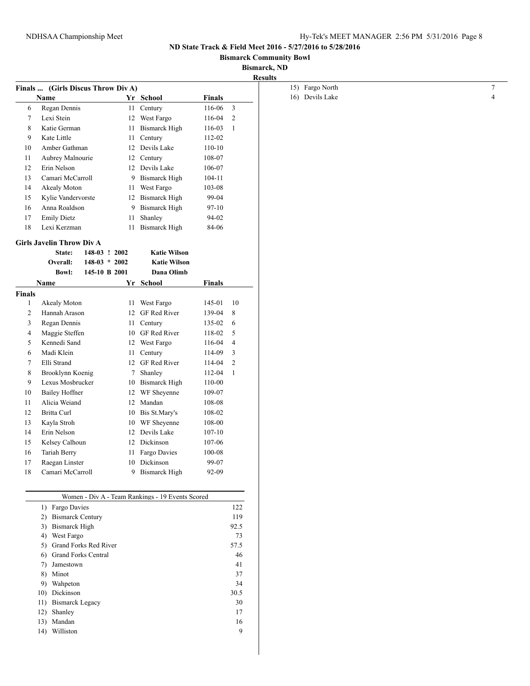#### **Bismarck Community Bowl**

## **Bismarck, ND**

|                | Finals  (Girls Discus Throw Div A)         |                 |    |                                                  |               |                         |
|----------------|--------------------------------------------|-----------------|----|--------------------------------------------------|---------------|-------------------------|
|                | Name                                       |                 |    | Yr School                                        | <b>Finals</b> |                         |
| 6              | Regan Dennis                               |                 |    | 11 Century                                       | 116-06        | $\overline{\mathbf{3}}$ |
| $\tau$         | Lexi Stein                                 |                 |    | 12 West Fargo                                    | 116-04        | $\overline{2}$          |
| 8              | Katie German                               |                 |    | 11 Bismarck High                                 | 116-03        | -1                      |
| 9              | Kate Little                                |                 |    | 11 Century                                       | 112-02        |                         |
| 10             | Amber Gathman                              |                 |    | 12 Devils Lake                                   | $110 - 10$    |                         |
| 11             | Aubrey Malnourie                           |                 |    | 12 Century                                       | 108-07        |                         |
| 12             | Erin Nelson                                |                 |    | 12 Devils Lake                                   | 106-07        |                         |
| 13             | Camari McCarroll                           |                 | 9  | <b>Bismarck High</b>                             | $104 - 11$    |                         |
| 14             | Akealy Moton                               |                 |    | 11 West Fargo                                    | 103-08        |                         |
| 15             | Kylie Vandervorste                         |                 |    | 12 Bismarck High                                 | 99-04         |                         |
| 16             | Anna Roaldson                              |                 | 9  | <b>Bismarck High</b>                             | $97 - 10$     |                         |
| 17             | <b>Emily Dietz</b>                         |                 |    | 11 Shanley                                       | 94-02         |                         |
| 18             | Lexi Kerzman                               |                 |    | 11 Bismarck High                                 | 84-06         |                         |
|                |                                            |                 |    |                                                  |               |                         |
|                | <b>Girls Javelin Throw Div A</b><br>State: | 148-03 ! 2002   |    | <b>Katie Wilson</b>                              |               |                         |
|                | Overall:                                   | $148-03 * 2002$ |    | <b>Katie Wilson</b>                              |               |                         |
|                | <b>Bowl:</b>                               | 145-10 B 2001   |    | Dana Olimb                                       |               |                         |
|                | Name                                       |                 |    | Yr School                                        | <b>Finals</b> |                         |
| <b>Finals</b>  |                                            |                 |    |                                                  |               |                         |
| $\mathbf{1}$   | Akealy Moton                               |                 |    | 11 West Fargo                                    | 145-01        | 10                      |
| $\overline{c}$ | Hannah Arason                              |                 |    | 12 GF Red River                                  | 139-04        | 8                       |
| 3              | Regan Dennis                               |                 |    | 11 Century                                       | 135-02        | 6                       |
| 4              | Maggie Steffen                             |                 |    | 10 GF Red River                                  | 118-02        | 5                       |
| 5              | Kennedi Sand                               |                 |    | 12 West Fargo                                    | 116-04        | $\overline{4}$          |
| 6              | Madi Klein                                 |                 | 11 | Century                                          | 114-09        | 3                       |
| 7              | Elli Strand                                |                 |    | 12 GF Red River                                  | 114-04        | 2                       |
| 8              | Brooklynn Koenig                           |                 |    | 7 Shanley                                        | 112-04        | -1                      |
| 9              | Lexus Mosbrucker                           |                 |    | 10 Bismarck High                                 | 110-00        |                         |
|                |                                            |                 |    |                                                  | 109-07        |                         |
| 10             | <b>Bailey Hoffner</b>                      |                 |    | 12 WF Sheyenne                                   |               |                         |
| 11             | Alicia Weiand                              |                 |    | 12 Mandan                                        | 108-08        |                         |
| 12             | Britta Curl                                |                 |    | 10 Bis St.Mary's                                 | 108-02        |                         |
| 13             | Kayla Stroh                                |                 |    | 10 WF Sheyenne                                   | 108-00        |                         |
| 14             | Erin Nelson                                |                 |    | 12 Devils Lake                                   | $107 - 10$    |                         |
| 15             | Kelsey Calhoun                             |                 |    | 12 Dickinson                                     | 107-06        |                         |
| 16             | Tariah Berry                               |                 |    | 11 Fargo Davies                                  | 100-08        |                         |
| 17             | Raegan Linster                             |                 |    | 10 Dickinson                                     | 99-07         |                         |
| 18             | Camari McCarroll                           |                 |    | 9 Bismarck High                                  | 92-09         |                         |
|                |                                            |                 |    |                                                  |               |                         |
|                |                                            |                 |    | Women - Div A - Team Rankings - 19 Events Scored |               |                         |
|                | 1) Fargo Davies                            |                 |    |                                                  |               | 122                     |
|                | 2) Bismarck Century                        |                 |    |                                                  |               | 119                     |
|                | 3) Bismarck High                           |                 |    |                                                  |               | 92.5                    |
|                | 4) West Fargo                              |                 |    |                                                  |               | 73                      |
|                | 5) Grand Forks Red River                   |                 |    |                                                  |               | 57.5                    |
|                | <b>Grand Forks Central</b><br>6)           |                 |    |                                                  |               | 46                      |
|                | 7) Jamestown                               |                 |    |                                                  |               | 41                      |
|                | 8) Minot                                   |                 |    |                                                  |               | 37                      |
|                | 9) Wahpeton                                |                 |    |                                                  |               | 34                      |
|                | 10) Dickinson                              |                 |    |                                                  |               | 30.5                    |
|                |                                            |                 |    |                                                  |               |                         |

11) Bismarck Legacy 30 12) Shanley 17 13) Mandan 16 14) Williston 9